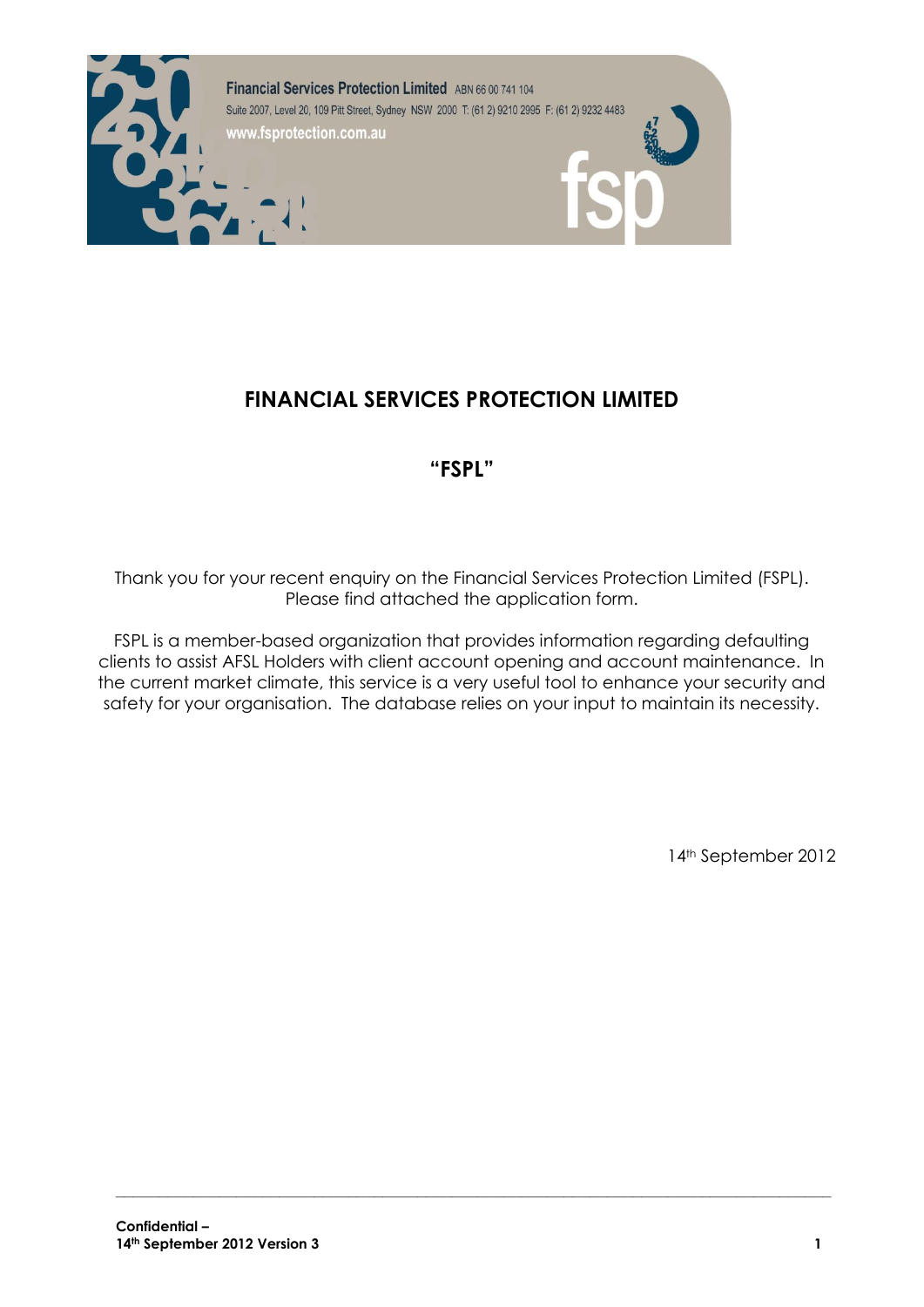

# **FINANCIAL SERVICES PROTECTION LIMITED**

# **"FSPL"**

Thank you for your recent enquiry on the Financial Services Protection Limited (FSPL). Please find attached the application form.

FSPL is a member-based organization that provides information regarding defaulting clients to assist AFSL Holders with client account opening and account maintenance. In the current market climate, this service is a very useful tool to enhance your security and safety for your organisation. The database relies on your input to maintain its necessity.

**\_\_\_\_\_\_\_\_\_\_\_\_\_\_\_\_\_\_\_\_\_\_\_\_\_\_\_\_\_\_\_\_\_\_\_\_\_\_\_\_\_\_\_\_\_\_\_\_\_\_\_\_\_\_\_\_\_\_\_\_\_\_\_\_\_\_\_\_\_\_\_\_\_\_\_\_\_\_\_\_\_\_\_**

14th September 2012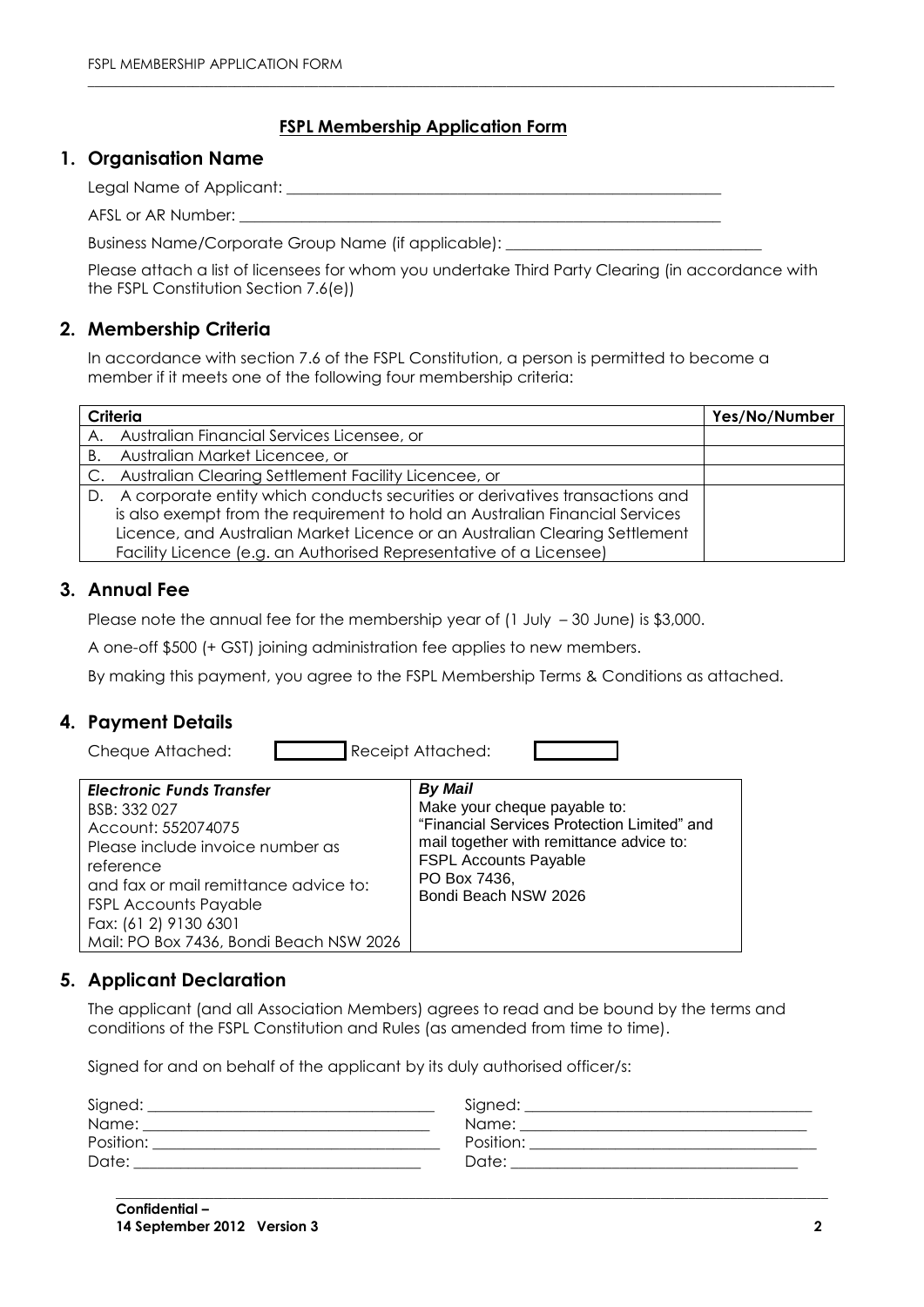### **FSPL Membership Application Form**

 $\_$  ,  $\_$  ,  $\_$  ,  $\_$  ,  $\_$  ,  $\_$  ,  $\_$  ,  $\_$  ,  $\_$  ,  $\_$  ,  $\_$  ,  $\_$  ,  $\_$  ,  $\_$  ,  $\_$  ,  $\_$  ,  $\_$  ,  $\_$  ,  $\_$  ,  $\_$  ,  $\_$  ,  $\_$  ,  $\_$  ,  $\_$  ,  $\_$  ,  $\_$  ,  $\_$  ,  $\_$  ,  $\_$  ,  $\_$  ,  $\_$  ,  $\_$  ,  $\_$  ,  $\_$  ,  $\_$  ,  $\_$  ,  $\_$  ,

#### **1. Organisation Name**

Legal Name of Applicant: Legal Name of Applicant:

AFSL or AR Number:

Business Name/Corporate Group Name (if applicable):

Please attach a list of licensees for whom you undertake Third Party Clearing (in accordance with the FSPL Constitution Section 7.6(e))

### **2. Membership Criteria**

In accordance with section 7.6 of the FSPL Constitution, a person is permitted to become a member if it meets one of the following four membership criteria:

| Criteria | Yes/No/Number                                                                   |  |
|----------|---------------------------------------------------------------------------------|--|
|          | A. Australian Financial Services Licensee, or                                   |  |
|          | B. Australian Market Licencee, or                                               |  |
|          | C. Australian Clearing Settlement Facility Licencee, or                         |  |
|          | D. A corporate entity which conducts securities or derivatives transactions and |  |
|          | is also exempt from the requirement to hold an Australian Financial Services    |  |
|          | Licence, and Australian Market Licence or an Australian Clearing Settlement     |  |
|          | Facility Licence (e.g. an Authorised Representative of a Licensee)              |  |

## **3. Annual Fee**

Please note the annual fee for the membership year of (1 July -30 June) is \$3,000.

A one-off \$500 (+ GST) joining administration fee applies to new members.

By making this payment, you agree to the FSPL Membership Terms & Conditions as attached.

## **4. Payment Details**

Cheque Attached: Receipt Attached:

| <b>Electronic Funds Transfer</b><br>BSB: 332 027<br>Account: 552074075<br>Please include invoice number as<br>reference<br>and fax or mail remittance advice to:<br><b>FSPL Accounts Payable</b><br>Fax: (61 2) 9130 6301<br>Mail: PO Box 7436, Bondi Beach NSW 2026 | <b>By Mail</b><br>Make your cheque payable to:<br>"Financial Services Protection Limited" and<br>mail together with remittance advice to:<br><b>FSPL Accounts Payable</b><br>PO Box 7436,<br>Bondi Beach NSW 2026 |
|----------------------------------------------------------------------------------------------------------------------------------------------------------------------------------------------------------------------------------------------------------------------|-------------------------------------------------------------------------------------------------------------------------------------------------------------------------------------------------------------------|
|----------------------------------------------------------------------------------------------------------------------------------------------------------------------------------------------------------------------------------------------------------------------|-------------------------------------------------------------------------------------------------------------------------------------------------------------------------------------------------------------------|

## **5. Applicant Declaration**

The applicant (and all Association Members) agrees to read and be bound by the terms and conditions of the FSPL Constitution and Rules (as amended from time to time).

Signed for and on behalf of the applicant by its duly authorised officer/s:

| Signed:   | Signed:   |
|-----------|-----------|
| Name:     | Name:     |
| Position: | Position: |
| Date:     | Date:     |

**\_\_\_\_\_\_\_\_\_\_\_\_\_\_\_\_\_\_\_\_\_\_\_\_\_\_\_\_\_\_\_\_\_\_\_\_\_\_\_\_\_\_\_\_\_\_\_\_\_\_\_\_\_\_\_\_\_\_\_\_\_\_\_\_\_\_\_\_\_\_\_\_\_\_\_\_\_\_\_\_\_\_\_\_\_\_\_\_\_\_\_\_\_\_\_\_\_\_\_\_\_\_**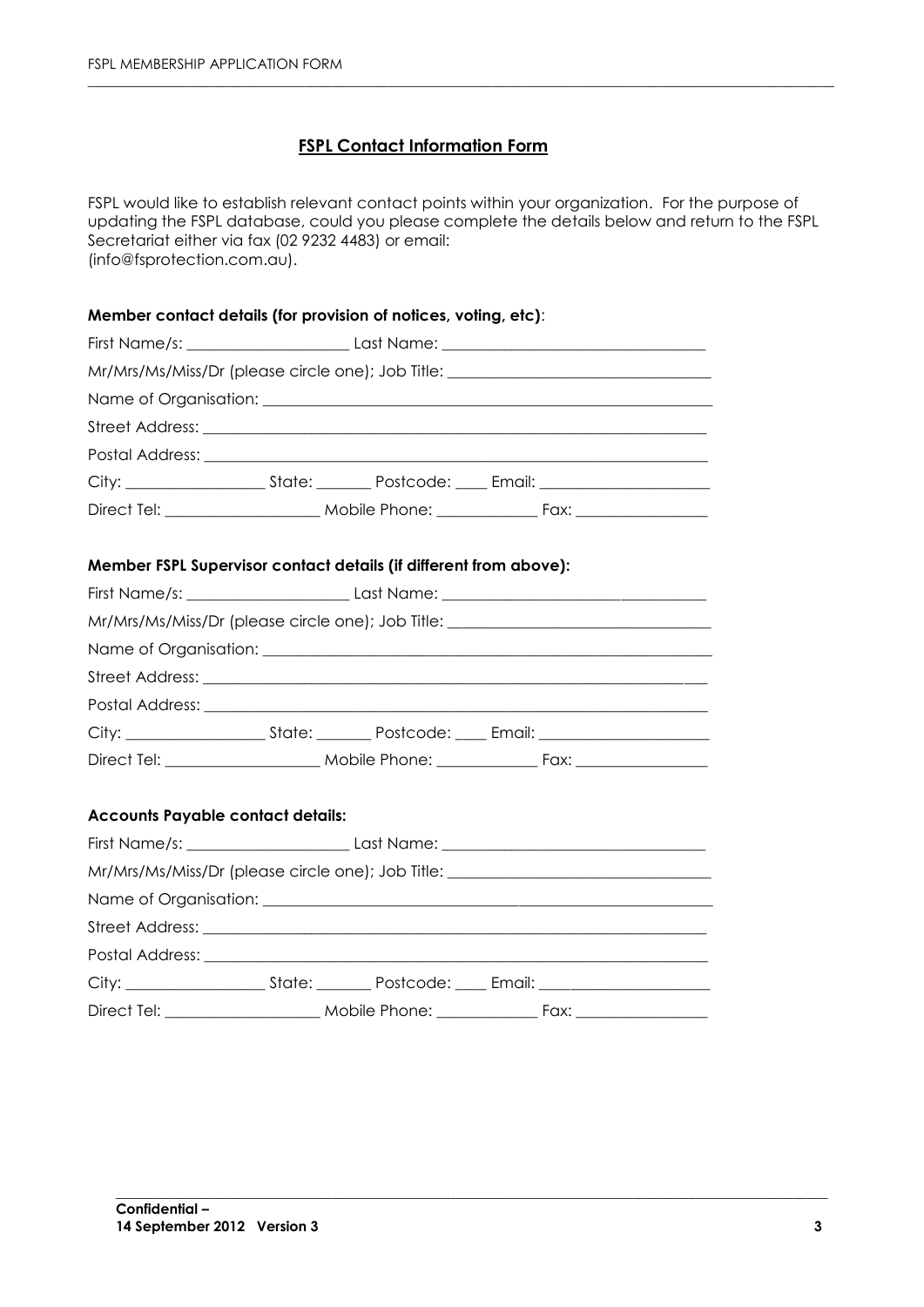## **FSPL Contact Information Form**

FSPL would like to establish relevant contact points within your organization. For the purpose of updating the FSPL database, could you please complete the details below and return to the FSPL Secretariat either via fax (02 9232 4483) or email: (info@fsprotection.com.au).

 $\_$  ,  $\_$  ,  $\_$  ,  $\_$  ,  $\_$  ,  $\_$  ,  $\_$  ,  $\_$  ,  $\_$  ,  $\_$  ,  $\_$  ,  $\_$  ,  $\_$  ,  $\_$  ,  $\_$  ,  $\_$  ,  $\_$  ,  $\_$  ,  $\_$  ,  $\_$  ,  $\_$  ,  $\_$  ,  $\_$  ,  $\_$  ,  $\_$  ,  $\_$  ,  $\_$  ,  $\_$  ,  $\_$  ,  $\_$  ,  $\_$  ,  $\_$  ,  $\_$  ,  $\_$  ,  $\_$  ,  $\_$  ,  $\_$  ,

#### **Member contact details (for provision of notices, voting, etc)**:

|                                                                   |  |  | Mr/Mrs/Ms/Miss/Dr (please circle one); Job Title: ______________________________ |  |
|-------------------------------------------------------------------|--|--|----------------------------------------------------------------------------------|--|
|                                                                   |  |  |                                                                                  |  |
|                                                                   |  |  |                                                                                  |  |
|                                                                   |  |  |                                                                                  |  |
|                                                                   |  |  |                                                                                  |  |
|                                                                   |  |  |                                                                                  |  |
| Member FSPL Supervisor contact details (if different from above): |  |  |                                                                                  |  |
|                                                                   |  |  |                                                                                  |  |
|                                                                   |  |  | Mr/Mrs/Ms/Miss/Dr (please circle one); Job Title: ______________________________ |  |
|                                                                   |  |  |                                                                                  |  |
|                                                                   |  |  |                                                                                  |  |
|                                                                   |  |  |                                                                                  |  |
|                                                                   |  |  |                                                                                  |  |
|                                                                   |  |  |                                                                                  |  |
| <b>Accounts Payable contact details:</b>                          |  |  |                                                                                  |  |
|                                                                   |  |  |                                                                                  |  |
|                                                                   |  |  | Mr/Mrs/Ms/Miss/Dr (please circle one); Job Title: ______________________________ |  |
|                                                                   |  |  |                                                                                  |  |
|                                                                   |  |  |                                                                                  |  |
|                                                                   |  |  |                                                                                  |  |
|                                                                   |  |  |                                                                                  |  |
|                                                                   |  |  |                                                                                  |  |

**\_\_\_\_\_\_\_\_\_\_\_\_\_\_\_\_\_\_\_\_\_\_\_\_\_\_\_\_\_\_\_\_\_\_\_\_\_\_\_\_\_\_\_\_\_\_\_\_\_\_\_\_\_\_\_\_\_\_\_\_\_\_\_\_\_\_\_\_\_\_\_\_\_\_\_\_\_\_\_\_\_\_\_\_\_\_\_\_\_\_\_\_\_\_\_\_\_\_\_\_\_\_**